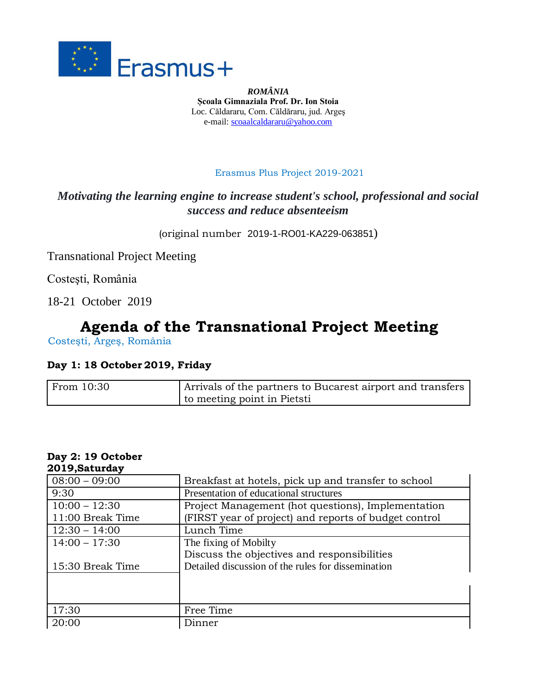

*ROMÂNIA* **Școala Gimnaziala Prof. Dr. Ion Stoia**  Loc. Căldararu, Com. Căldăraru, jud. Argeş e-mail[: scoaalcaldararu@yahoo.com](mailto:scoaalcaldararu@yahoo.com)

Erasmus Plus Project 2019-2021

# *Motivating the learning engine to increase student's school, professional and social success and reduce absenteeism*

(original number 2019-1-RO01-KA229-063851)

Transnational Project Meeting

Costeşti, România

18-21 October 2019

# **Agenda of the Transnational Project Meeting**

Costeşti, Argeş, România

### **Day 1: 18 October 2019, Friday**

| From 10:30 | Arrivals of the partners to Bucarest airport and transfers |
|------------|------------------------------------------------------------|
|            | to meeting point in Pietsti                                |

#### **Day 2: 19 October 2019,Saturday**

| 4017, Sacul uay  |                                                       |
|------------------|-------------------------------------------------------|
| $08:00 - 09:00$  | Breakfast at hotels, pick up and transfer to school   |
| 9:30             | Presentation of educational structures                |
| $10:00 - 12:30$  | Project Management (hot questions), Implementation    |
| 11:00 Break Time | (FIRST year of project) and reports of budget control |
| $12:30 - 14:00$  | Lunch Time                                            |
| $14:00 - 17:30$  | The fixing of Mobilty                                 |
|                  | Discuss the objectives and responsibilities           |
| 15:30 Break Time | Detailed discussion of the rules for dissemination    |
|                  |                                                       |
|                  |                                                       |
|                  |                                                       |
| 17:30            | Free Time                                             |
| 20:00            | Dinner                                                |